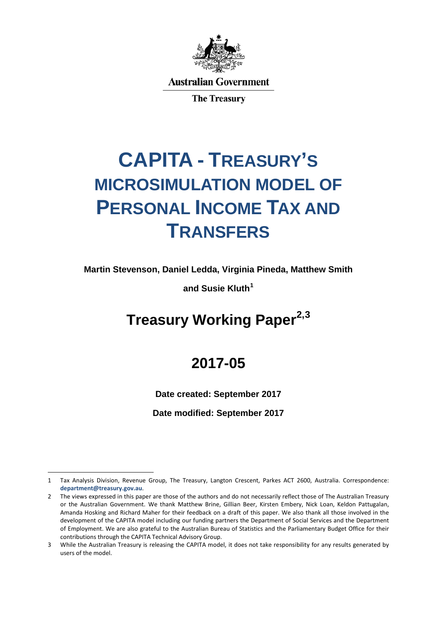

**Australian Government** 

**The Treasury** 

# **CAPITA - TREASURY'S MICROSIMULATION MODEL OF PERSONAL INCOME TAX AND TRANSFERS**

**Martin Stevenson, Daniel Ledda, Virginia Pineda, Matthew Smith**

**and Susie Kluth[1](#page-0-0)**

# **Treasury Working Paper[2](#page-0-1),[3](#page-0-2)**

# **2017-05**

**Date created: September 2017**

**Date modified: September 2017**

<span id="page-0-0"></span><sup>1</sup> Tax Analysis Division, Revenue Group, The Treasury, Langton Crescent, Parkes ACT 2600, Australia. Correspondence: **[department@treasury.gov.au](mailto:department@treasury.gov.au)**.

<span id="page-0-1"></span><sup>2</sup> The views expressed in this paper are those of the authors and do not necessarily reflect those of The Australian Treasury or the Australian Government. We thank Matthew Brine, Gillian Beer, Kirsten Embery, Nick Loan, Keldon Pattugalan, Amanda Hosking and Richard Maher for their feedback on a draft of this paper. We also thank all those involved in the development of the CAPITA model including our funding partners the Department of Social Services and the Department of Employment. We are also grateful to the Australian Bureau of Statistics and the Parliamentary Budget Office for their contributions through the CAPITA Technical Advisory Group.

<span id="page-0-2"></span><sup>3</sup> While the Australian Treasury is releasing the CAPITA model, it does not take responsibility for any results generated by users of the model.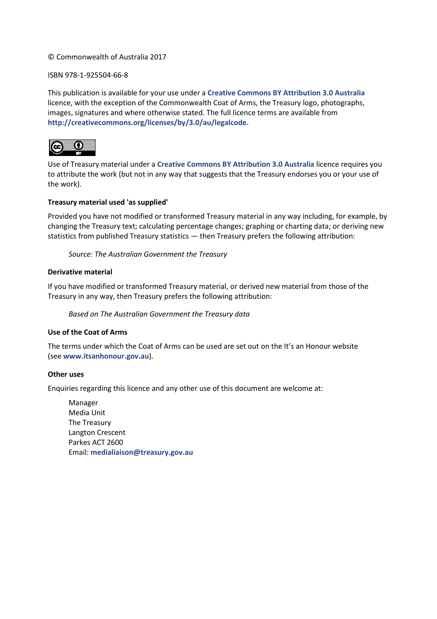### © Commonwealth of Australia 2017

### ISBN 978-1-925504-66-8

This publication is available for your use under a **[Creative Commons BY Attribution 3.0 Australia](http://creativecommons.org/licenses/by/3.0/au/deed.en)** licence, with the exception of the Commonwealth Coat of Arms, the Treasury logo, photographs, images, signatures and where otherwise stated. The full licence terms are available from **[http://creativecommons.org/licenses/by/3.0/au/legalcode.](http://creativecommons.org/licenses/by/3.0/au/legalcode)**



Use of Treasury material under a **[Creative Commons BY Attribution 3.0 Australia](http://creativecommons.org/licenses/by/3.0/au/deed.en)** licence requires you to attribute the work (but not in any way that suggests that the Treasury endorses you or your use of the work).

### **Treasury material used 'as supplied'**

Provided you have not modified or transformed Treasury material in any way including, for example, by changing the Treasury text; calculating percentage changes; graphing or charting data; or deriving new statistics from published Treasury statistics — then Treasury prefers the following attribution:

*Source: The Australian Government the Treasury*

### **Derivative material**

If you have modified or transformed Treasury material, or derived new material from those of the Treasury in any way, then Treasury prefers the following attribution:

*Based on The Australian Government the Treasury data*

### **Use of the Coat of Arms**

The terms under which the Coat of Arms can be used are set out on the It's an Honour website (see **[www.itsanhonour.gov.au](http://www.itsanhonour.gov.au/)**).

### **Other uses**

Enquiries regarding this licence and any other use of this document are welcome at:

Manager Media Unit The Treasury Langton Crescent Parkes ACT 2600 Email: **[medialiaison@treasury.gov.au](mailto:medialiaison@treasury.gov.au)**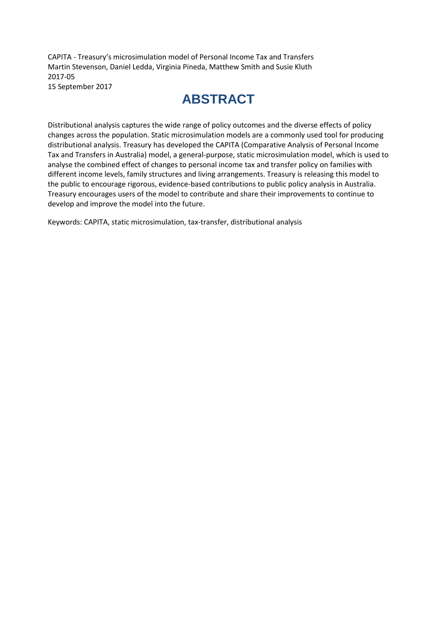CAPITA - Treasury's microsimulation model of Personal Income Tax and Transfers Martin Stevenson, Daniel Ledda, Virginia Pineda, Matthew Smith and Susie Kluth 2017-05 15 September 2017

# **ABSTRACT**

Distributional analysis captures the wide range of policy outcomes and the diverse effects of policy changes across the population. Static microsimulation models are a commonly used tool for producing distributional analysis. Treasury has developed the CAPITA (Comparative Analysis of Personal Income Tax and Transfers in Australia) model, a general-purpose, static microsimulation model, which is used to analyse the combined effect of changes to personal income tax and transfer policy on families with different income levels, family structures and living arrangements. Treasury is releasing this model to the public to encourage rigorous, evidence-based contributions to public policy analysis in Australia. Treasury encourages users of the model to contribute and share their improvements to continue to develop and improve the model into the future.

Keywords: CAPITA, static microsimulation, tax-transfer, distributional analysis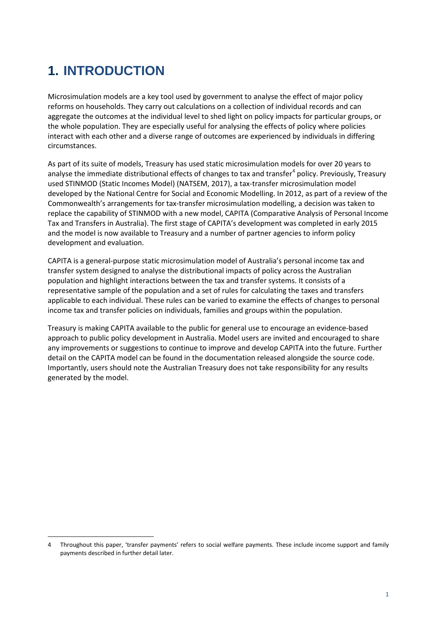# **1. INTRODUCTION**

 $\overline{a}$ 

Microsimulation models are a key tool used by government to analyse the effect of major policy reforms on households. They carry out calculations on a collection of individual records and can aggregate the outcomes at the individual level to shed light on policy impacts for particular groups, or the whole population. They are especially useful for analysing the effects of policy where policies interact with each other and a diverse range of outcomes are experienced by individuals in differing circumstances.

As part of its suite of models, Treasury has used static microsimulation models for over 20 years to analyse the immediate distributional effects of changes to tax and transfer<sup>[4](#page-4-0)</sup> policy. Previously, Treasury used STINMOD (Static Incomes Model) (NATSEM, 2017), a tax-transfer microsimulation model developed by the National Centre for Social and Economic Modelling. In 2012, as part of a review of the Commonwealth's arrangements for tax-transfer microsimulation modelling, a decision was taken to replace the capability of STINMOD with a new model, CAPITA (Comparative Analysis of Personal Income Tax and Transfers in Australia). The first stage of CAPITA's development was completed in early 2015 and the model is now available to Treasury and a number of partner agencies to inform policy development and evaluation.

CAPITA is a general-purpose static microsimulation model of Australia's personal income tax and transfer system designed to analyse the distributional impacts of policy across the Australian population and highlight interactions between the tax and transfer systems. It consists of a representative sample of the population and a set of rules for calculating the taxes and transfers applicable to each individual. These rules can be varied to examine the effects of changes to personal income tax and transfer policies on individuals, families and groups within the population.

Treasury is making CAPITA available to the public for general use to encourage an evidence-based approach to public policy development in Australia. Model users are invited and encouraged to share any improvements or suggestions to continue to improve and develop CAPITA into the future. Further detail on the CAPITA model can be found in the documentation released alongside the source code. Importantly, users should note the Australian Treasury does not take responsibility for any results generated by the model.

<span id="page-4-0"></span><sup>4</sup> Throughout this paper, 'transfer payments' refers to social welfare payments. These include income support and family payments described in further detail later.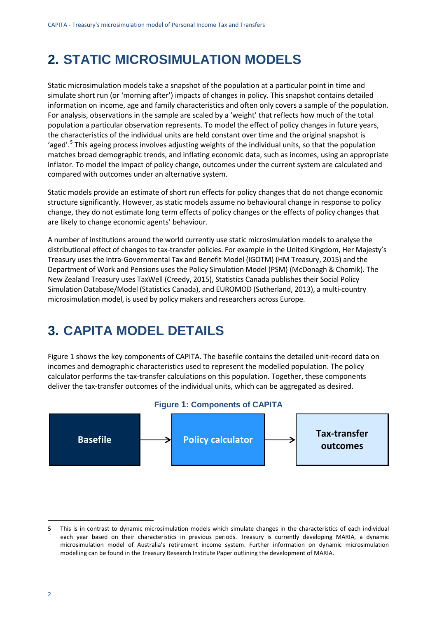# **2. STATIC MICROSIMULATION MODELS**

Static microsimulation models take a snapshot of the population at a particular point in time and simulate short run (or 'morning after') impacts of changes in policy. This snapshot contains detailed information on income, age and family characteristics and often only covers a sample of the population. For analysis, observations in the sample are scaled by a 'weight' that reflects how much of the total population a particular observation represents. To model the effect of policy changes in future years, the characteristics of the individual units are held constant over time and the original snapshot is 'aged'.<sup>[5](#page-5-1)</sup> This ageing process involves adjusting weights of the individual units, so that the population matches broad demographic trends, and inflating economic data, such as incomes, using an appropriate inflator. To model the impact of policy change, outcomes under the current system are calculated and compared with outcomes under an alternative system.

Static models provide an estimate of short run effects for policy changes that do not change economic structure significantly. However, as static models assume no behavioural change in response to policy change, they do not estimate long term effects of policy changes or the effects of policy changes that are likely to change economic agents' behaviour.

A number of institutions around the world currently use static microsimulation models to analyse the distributional effect of changes to tax-transfer policies. For example in the United Kingdom, Her Majesty's Treasury uses the Intra-Governmental Tax and Benefit Model (IGOTM) (HM Treasury, 2015) and the Department of Work and Pensions uses the Policy Simulation Model (PSM) (McDonagh & Chomik). The New Zealand Treasury uses TaxWell (Creedy, 2015), Statistics Canada publishes their Social Policy Simulation Database/Model (Statistics Canada), and EUROMOD (Sutherland, 2013), a multi-country microsimulation model, is used by policy makers and researchers across Europe.

# **3. CAPITA MODEL DETAILS**

[Figure 1](#page-5-0) shows the key components of CAPITA. The basefile contains the detailed unit-record data on incomes and demographic characteristics used to represent the modelled population. The policy calculator performs the tax-transfer calculations on this population. Together, these components deliver the tax-transfer outcomes of the individual units, which can be aggregated as desired.

<span id="page-5-0"></span>

#### **Figure 1: Components of CAPITA**

<span id="page-5-1"></span><sup>5</sup> This is in contrast to dynamic microsimulation models which simulate changes in the characteristics of each individual each year based on their characteristics in previous periods. Treasury is currently developing MARIA, a dynamic microsimulation model of Australia's retirement income system. Further information on dynamic microsimulation modelling can be found in the Treasury Research Institute Paper outlining the development of MARIA.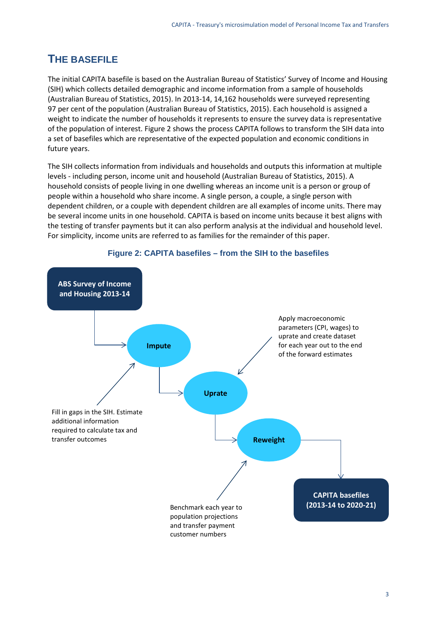### **THE BASEFILE**

The initial CAPITA basefile is based on the Australian Bureau of Statistics' Survey of Income and Housing (SIH) which collects detailed demographic and income information from a sample of households (Australian Bureau of Statistics, 2015). In 2013-14, 14,162 households were surveyed representing 97 per cent of the population (Australian Bureau of Statistics, 2015). Each household is assigned a weight to indicate the number of households it represents to ensure the survey data is representative of the population of interest. [Figure 2](#page-6-0) shows the process CAPITA follows to transform the SIH data into a set of basefiles which are representative of the expected population and economic conditions in future years.

The SIH collects information from individuals and households and outputs this information at multiple levels - including person, income unit and household (Australian Bureau of Statistics, 2015). A household consists of people living in one dwelling whereas an income unit is a person or group of people within a household who share income. A single person, a couple, a single person with dependent children, or a couple with dependent children are all examples of income units. There may be several income units in one household. CAPITA is based on income units because it best aligns with the testing of transfer payments but it can also perform analysis at the individual and household level. For simplicity, income units are referred to as families for the remainder of this paper.

<span id="page-6-0"></span>

### **Figure 2: CAPITA basefiles – from the SIH to the basefiles**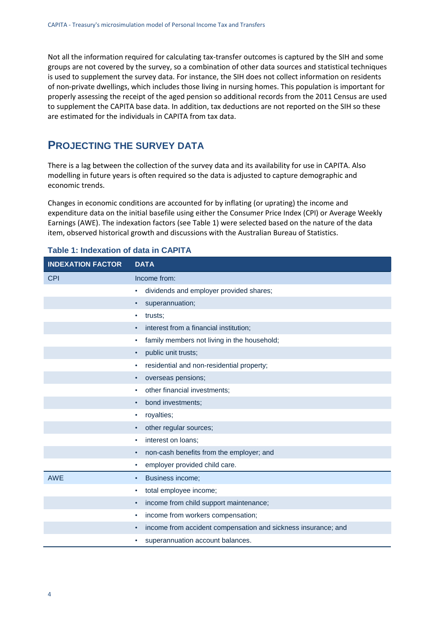Not all the information required for calculating tax-transfer outcomes is captured by the SIH and some groups are not covered by the survey, so a combination of other data sources and statistical techniques is used to supplement the survey data. For instance, the SIH does not collect information on residents of non-private dwellings, which includes those living in nursing homes. This population is important for properly assessing the receipt of the aged pension so additional records from the 2011 Census are used to supplement the CAPITA base data. In addition, tax deductions are not reported on the SIH so these are estimated for the individuals in CAPITA from tax data.

### **PROJECTING THE SURVEY DATA**

There is a lag between the collection of the survey data and its availability for use in CAPITA. Also modelling in future years is often required so the data is adjusted to capture demographic and economic trends.

Changes in economic conditions are accounted for by inflating (or uprating) the income and expenditure data on the initial basefile using either the Consumer Price Index (CPI) or Average Weekly Earnings (AWE). The indexation factors (see Table 1) were selected based on the nature of the data item, observed historical growth and discussions with the Australian Bureau of Statistics.

| <b>INDEXATION FACTOR</b> | <b>DATA</b>                                                        |
|--------------------------|--------------------------------------------------------------------|
| <b>CPI</b>               | Income from:                                                       |
|                          | dividends and employer provided shares;<br>٠                       |
|                          | superannuation;<br>٠                                               |
|                          | trusts;                                                            |
|                          | interest from a financial institution;                             |
|                          | family members not living in the household;<br>٠                   |
|                          | public unit trusts;<br>$\bullet$                                   |
|                          | residential and non-residential property;                          |
|                          | overseas pensions;<br>$\bullet$                                    |
|                          | other financial investments;                                       |
|                          | bond investments;<br>$\bullet$                                     |
|                          | royalties;<br>٠                                                    |
|                          | other regular sources;                                             |
|                          | interest on loans;                                                 |
|                          | non-cash benefits from the employer; and<br>$\bullet$              |
|                          | employer provided child care.<br>٠                                 |
| <b>AWE</b>               | Business income;<br>٠                                              |
|                          | total employee income;<br>٠                                        |
|                          | income from child support maintenance;<br>$\bullet$                |
|                          | income from workers compensation;<br>٠                             |
|                          | income from accident compensation and sickness insurance; and<br>٠ |
|                          | superannuation account balances.                                   |

### **Table 1: Indexation of data in CAPITA**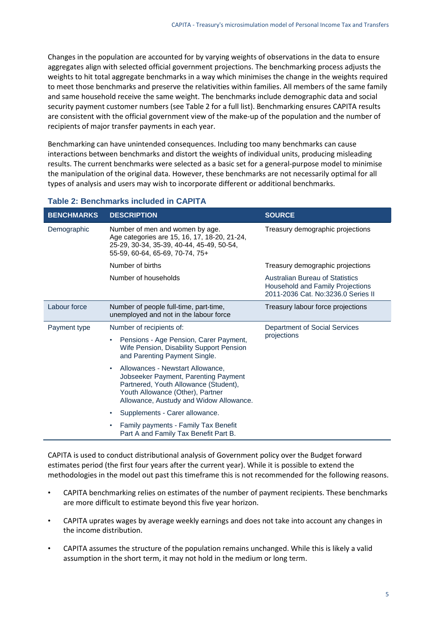Changes in the population are accounted for by varying weights of observations in the data to ensure aggregates align with selected official government projections. The benchmarking process adjusts the weights to hit total aggregate benchmarks in a way which minimises the change in the weights required to meet those benchmarks and preserve the relativities within families. All members of the same family and same household receive the same weight. The benchmarks include demographic data and social security payment customer numbers (see Table [2](#page-8-0) for a full list). Benchmarking ensures CAPITA results are consistent with the official government view of the make-up of the population and the number of recipients of major transfer payments in each year.

Benchmarking can have unintended consequences. Including too many benchmarks can cause interactions between benchmarks and distort the weights of individual units, producing misleading results. The current benchmarks were selected as a basic set for a general-purpose model to minimise the manipulation of the original data. However, these benchmarks are not necessarily optimal for all types of analysis and users may wish to incorporate different or additional benchmarks.

| <b>BENCHMARKS</b> | <b>DESCRIPTION</b>                                                                                                                                                                                            | <b>SOURCE</b>                                                                                                    |
|-------------------|---------------------------------------------------------------------------------------------------------------------------------------------------------------------------------------------------------------|------------------------------------------------------------------------------------------------------------------|
| Demographic       | Number of men and women by age.<br>Age categories are 15, 16, 17, 18-20, 21-24,<br>25-29, 30-34, 35-39, 40-44, 45-49, 50-54,<br>55-59, 60-64, 65-69, 70-74, 75+                                               | Treasury demographic projections                                                                                 |
|                   | Number of births                                                                                                                                                                                              | Treasury demographic projections                                                                                 |
|                   | Number of households                                                                                                                                                                                          | <b>Australian Bureau of Statistics</b><br>Household and Family Projections<br>2011-2036 Cat. No:3236.0 Series II |
| Labour force      | Number of people full-time, part-time,<br>unemployed and not in the labour force                                                                                                                              | Treasury labour force projections                                                                                |
| Payment type      | Number of recipients of:                                                                                                                                                                                      | Department of Social Services<br>projections                                                                     |
|                   | Pensions - Age Pension, Carer Payment,<br>$\bullet$<br>Wife Pension, Disability Support Pension<br>and Parenting Payment Single.                                                                              |                                                                                                                  |
|                   | Allowances - Newstart Allowance,<br>$\bullet$<br>Jobseeker Payment, Parenting Payment<br>Partnered, Youth Allowance (Student),<br>Youth Allowance (Other), Partner<br>Allowance, Austudy and Widow Allowance. |                                                                                                                  |
|                   | Supplements - Carer allowance.<br>٠                                                                                                                                                                           |                                                                                                                  |
|                   | Family payments - Family Tax Benefit<br>Part A and Family Tax Benefit Part B.                                                                                                                                 |                                                                                                                  |

### <span id="page-8-0"></span>**Table 2: Benchmarks included in CAPITA**

CAPITA is used to conduct distributional analysis of Government policy over the Budget forward estimates period (the first four years after the current year). While it is possible to extend the methodologies in the model out past this timeframe this is not recommended for the following reasons.

- CAPITA benchmarking relies on estimates of the number of payment recipients. These benchmarks are more difficult to estimate beyond this five year horizon.
- CAPITA uprates wages by average weekly earnings and does not take into account any changes in the income distribution.
- CAPITA assumes the structure of the population remains unchanged. While this is likely a valid assumption in the short term, it may not hold in the medium or long term.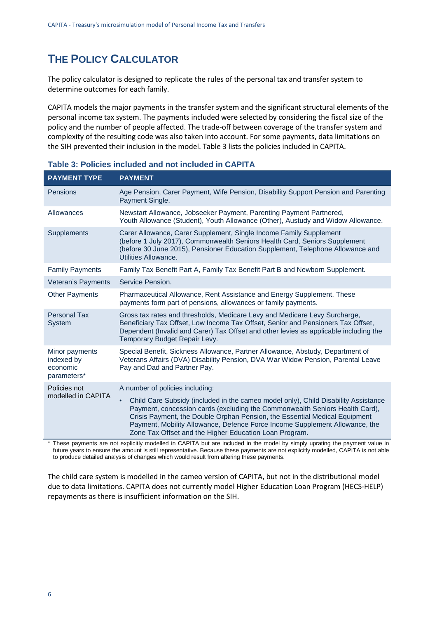### **THE POLICY CALCULATOR**

The policy calculator is designed to replicate the rules of the personal tax and transfer system to determine outcomes for each family.

CAPITA models the major payments in the transfer system and the significant structural elements of the personal income tax system. The payments included were selected by considering the fiscal size of the policy and the number of people affected. The trade-off between coverage of the transfer system and complexity of the resulting code was also taken into account. For some payments, data limitations on the SIH prevented their inclusion in the model. [Table 3](#page-9-0) lists the policies included in CAPITA.

| <b>PAYMENT TYPE</b>                                     | <b>PAYMENT</b>                                                                                                                                                                                                                                                                                                                                                                                        |
|---------------------------------------------------------|-------------------------------------------------------------------------------------------------------------------------------------------------------------------------------------------------------------------------------------------------------------------------------------------------------------------------------------------------------------------------------------------------------|
| <b>Pensions</b>                                         | Age Pension, Carer Payment, Wife Pension, Disability Support Pension and Parenting<br>Payment Single.                                                                                                                                                                                                                                                                                                 |
| Allowances                                              | Newstart Allowance, Jobseeker Payment, Parenting Payment Partnered,<br>Youth Allowance (Student), Youth Allowance (Other), Austudy and Widow Allowance.                                                                                                                                                                                                                                               |
| Supplements                                             | Carer Allowance, Carer Supplement, Single Income Family Supplement<br>(before 1 July 2017), Commonwealth Seniors Health Card, Seniors Supplement<br>(before 30 June 2015), Pensioner Education Supplement, Telephone Allowance and<br>Utilities Allowance.                                                                                                                                            |
| <b>Family Payments</b>                                  | Family Tax Benefit Part A, Family Tax Benefit Part B and Newborn Supplement.                                                                                                                                                                                                                                                                                                                          |
| Veteran's Payments                                      | Service Pension.                                                                                                                                                                                                                                                                                                                                                                                      |
| <b>Other Payments</b>                                   | Pharmaceutical Allowance, Rent Assistance and Energy Supplement. These<br>payments form part of pensions, allowances or family payments.                                                                                                                                                                                                                                                              |
| <b>Personal Tax</b><br><b>System</b>                    | Gross tax rates and thresholds, Medicare Levy and Medicare Levy Surcharge,<br>Beneficiary Tax Offset, Low Income Tax Offset, Senior and Pensioners Tax Offset,<br>Dependent (Invalid and Carer) Tax Offset and other levies as applicable including the<br>Temporary Budget Repair Levy.                                                                                                              |
| Minor payments<br>indexed by<br>economic<br>parameters* | Special Benefit, Sickness Allowance, Partner Allowance, Abstudy, Department of<br>Veterans Affairs (DVA) Disability Pension, DVA War Widow Pension, Parental Leave<br>Pay and Dad and Partner Pay.                                                                                                                                                                                                    |
| Policies not<br>modelled in CAPITA                      | A number of policies including:                                                                                                                                                                                                                                                                                                                                                                       |
|                                                         | Child Care Subsidy (included in the cameo model only), Child Disability Assistance<br>$\bullet$<br>Payment, concession cards (excluding the Commonwealth Seniors Health Card),<br>Crisis Payment, the Double Orphan Pension, the Essential Medical Equipment<br>Payment, Mobility Allowance, Defence Force Income Supplement Allowance, the<br>Zone Tax Offset and the Higher Education Loan Program. |

#### <span id="page-9-0"></span>**Table 3: Policies included and not included in CAPITA**

\* These payments are not explicitly modelled in CAPITA but are included in the model by simply uprating the payment value in future years to ensure the amount is still representative. Because these payments are not explicitly modelled, CAPITA is not able to produce detailed analysis of changes which would result from altering these payments.

The child care system is modelled in the cameo version of CAPITA, but not in the distributional model due to data limitations. CAPITA does not currently model Higher Education Loan Program (HECS-HELP) repayments as there is insufficient information on the SIH.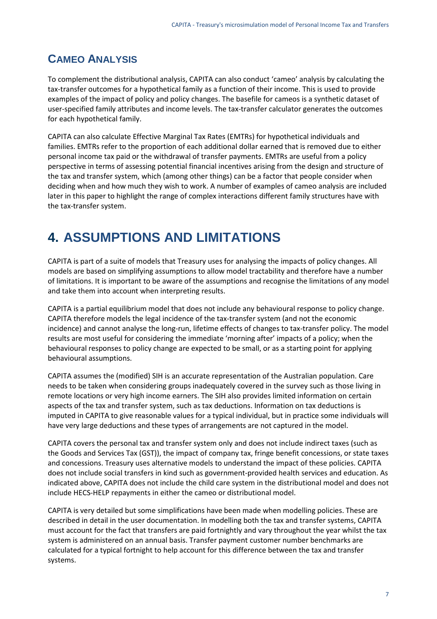### **CAMEO ANALYSIS**

To complement the distributional analysis, CAPITA can also conduct 'cameo' analysis by calculating the tax-transfer outcomes for a hypothetical family as a function of their income. This is used to provide examples of the impact of policy and policy changes. The basefile for cameos is a synthetic dataset of user-specified family attributes and income levels. The tax-transfer calculator generates the outcomes for each hypothetical family.

CAPITA can also calculate Effective Marginal Tax Rates (EMTRs) for hypothetical individuals and families. EMTRs refer to the proportion of each additional dollar earned that is removed due to either personal income tax paid or the withdrawal of transfer payments. EMTRs are useful from a policy perspective in terms of assessing potential financial incentives arising from the design and structure of the tax and transfer system, which (among other things) can be a factor that people consider when deciding when and how much they wish to work. A number of examples of cameo analysis are included later in this paper to highlight the range of complex interactions different family structures have with the tax-transfer system.

# **4. ASSUMPTIONS AND LIMITATIONS**

CAPITA is part of a suite of models that Treasury uses for analysing the impacts of policy changes. All models are based on simplifying assumptions to allow model tractability and therefore have a number of limitations. It is important to be aware of the assumptions and recognise the limitations of any model and take them into account when interpreting results.

CAPITA is a partial equilibrium model that does not include any behavioural response to policy change. CAPITA therefore models the legal incidence of the tax-transfer system (and not the economic incidence) and cannot analyse the long-run, lifetime effects of changes to tax-transfer policy. The model results are most useful for considering the immediate 'morning after' impacts of a policy; when the behavioural responses to policy change are expected to be small, or as a starting point for applying behavioural assumptions.

CAPITA assumes the (modified) SIH is an accurate representation of the Australian population. Care needs to be taken when considering groups inadequately covered in the survey such as those living in remote locations or very high income earners. The SIH also provides limited information on certain aspects of the tax and transfer system, such as tax deductions. Information on tax deductions is imputed in CAPITA to give reasonable values for a typical individual, but in practice some individuals will have very large deductions and these types of arrangements are not captured in the model.

CAPITA covers the personal tax and transfer system only and does not include indirect taxes (such as the Goods and Services Tax (GST)), the impact of company tax, fringe benefit concessions, or state taxes and concessions. Treasury uses alternative models to understand the impact of these policies. CAPITA does not include social transfers in kind such as government-provided health services and education. As indicated above, CAPITA does not include the child care system in the distributional model and does not include HECS-HELP repayments in either the cameo or distributional model.

CAPITA is very detailed but some simplifications have been made when modelling policies. These are described in detail in the user documentation. In modelling both the tax and transfer systems, CAPITA must account for the fact that transfers are paid fortnightly and vary throughout the year whilst the tax system is administered on an annual basis. Transfer payment customer number benchmarks are calculated for a typical fortnight to help account for this difference between the tax and transfer systems.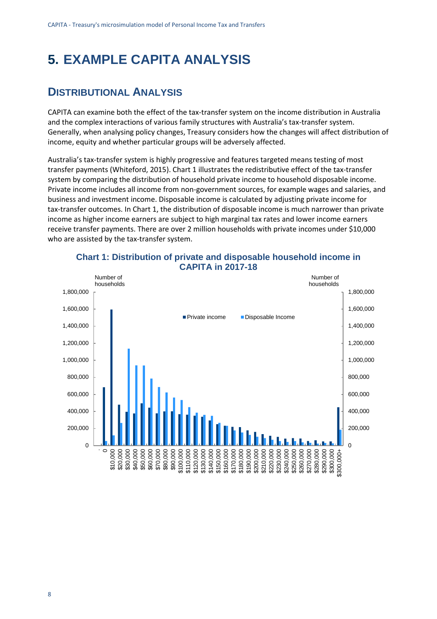# **5. EXAMPLE CAPITA ANALYSIS**

### **DISTRIBUTIONAL ANALYSIS**

CAPITA can examine both the effect of the tax-transfer system on the income distribution in Australia and the complex interactions of various family structures with Australia's tax-transfer system. Generally, when analysing policy changes, Treasury considers how the changes will affect distribution of income, equity and whether particular groups will be adversely affected.

Australia's tax-transfer system is highly progressive and features targeted means testing of most transfer payments (Whiteford, 2015). [Chart 1](#page-11-0) illustrates the redistributive effect of the tax-transfer system by comparing the distribution of household private income to household disposable income. Private income includes all income from non-government sources, for example wages and salaries, and business and investment income. Disposable income is calculated by adjusting private income for tax-transfer outcomes. In Chart 1, the distribution of disposable income is much narrower than private income as higher income earners are subject to high marginal tax rates and lower income earners receive transfer payments. There are over 2 million households with private incomes under \$10,000 who are assisted by the tax-transfer system.

<span id="page-11-0"></span>

#### **Chart 1: Distribution of private and disposable household income in CAPITA in 2017-18**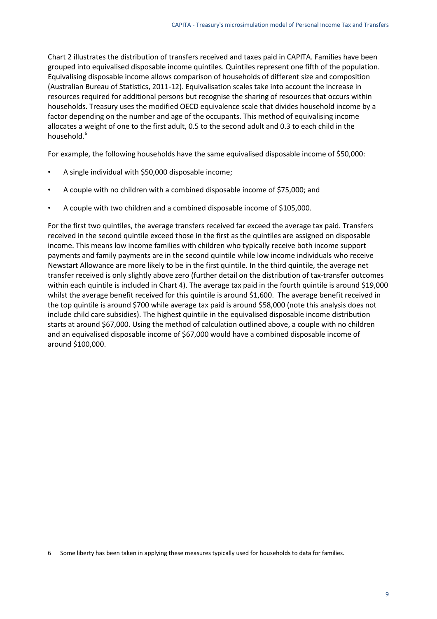[Chart 2](#page-13-0) illustrates the distribution of transfers received and taxes paid in CAPITA. Families have been grouped into equivalised disposable income quintiles. Quintiles represent one fifth of the population. Equivalising disposable income allows comparison of households of different size and composition (Australian Bureau of Statistics, 2011-12). Equivalisation scales take into account the increase in resources required for additional persons but recognise the sharing of resources that occurs within households. Treasury uses the modified OECD equivalence scale that divides household income by a factor depending on the number and age of the occupants. This method of equivalising income allocates a weight of one to the first adult, 0.5 to the second adult and 0.3 to each child in the household.<sup>[6](#page-12-0)</sup>

For example, the following households have the same equivalised disposable income of \$50,000:

- A single individual with \$50,000 disposable income;
- A couple with no children with a combined disposable income of \$75,000; and
- A couple with two children and a combined disposable income of \$105,000.

For the first two quintiles, the average transfers received far exceed the average tax paid. Transfers received in the second quintile exceed those in the first as the quintiles are assigned on disposable income. This means low income families with children who typically receive both income support payments and family payments are in the second quintile while low income individuals who receive Newstart Allowance are more likely to be in the first quintile. In the third quintile, the average net transfer received is only slightly above zero (further detail on the distribution of tax-transfer outcomes within each quintile is included in [Chart 4\)](#page-15-0). The average tax paid in the fourth quintile is around \$19,000 whilst the average benefit received for this quintile is around \$1,600. The average benefit received in the top quintile is around \$700 while average tax paid is around \$58,000 (note this analysis does not include child care subsidies). The highest quintile in the equivalised disposable income distribution starts at around \$67,000. Using the method of calculation outlined above, a couple with no children and an equivalised disposable income of \$67,000 would have a combined disposable income of around \$100,000.

<span id="page-12-0"></span><sup>6</sup> Some liberty has been taken in applying these measures typically used for households to data for families.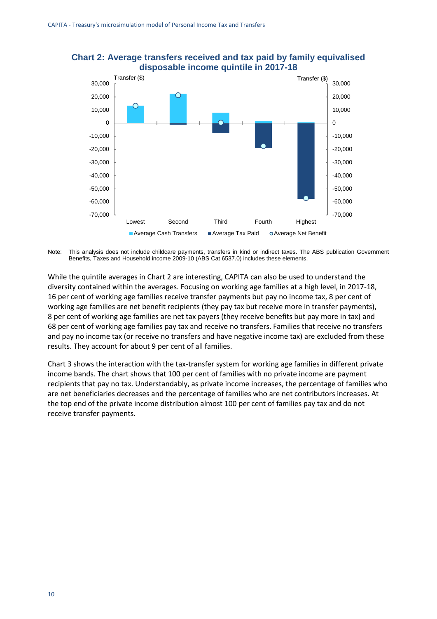

### <span id="page-13-0"></span>**Chart 2: Average transfers received and tax paid by family equivalised disposable income quintile in 2017-18**

Note: This analysis does not include childcare payments, transfers in kind or indirect taxes. The ABS publication Government Benefits, Taxes and Household income 2009-10 (ABS Cat 6537.0) includes these elements.

While the quintile averages in Chart 2 are interesting, CAPITA can also be used to understand the diversity contained within the averages. Focusing on working age families at a high level, in 2017-18, 16 per cent of working age families receive transfer payments but pay no income tax, 8 per cent of working age families are net benefit recipients (they pay tax but receive more in transfer payments), 8 per cent of working age families are net tax payers (they receive benefits but pay more in tax) and 68 per cent of working age families pay tax and receive no transfers. Families that receive no transfers and pay no income tax (or receive no transfers and have negative income tax) are excluded from these results. They account for about 9 per cent of all families.

[Chart 3](#page-14-0) shows the interaction with the tax-transfer system for working age families in different private income bands. The chart shows that 100 per cent of families with no private income are payment recipients that pay no tax. Understandably, as private income increases, the percentage of families who are net beneficiaries decreases and the percentage of families who are net contributors increases. At the top end of the private income distribution almost 100 per cent of families pay tax and do not receive transfer payments.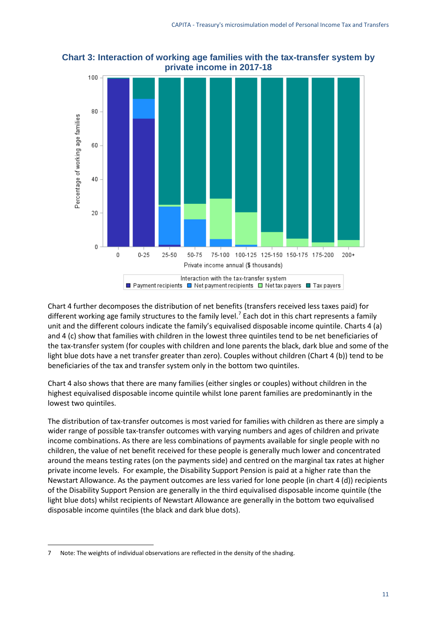

<span id="page-14-0"></span>**Chart 3: Interaction of working age families with the tax-transfer system by private income in 2017-18**

[Chart 4](#page-15-0) further decomposes the distribution of net benefits (transfers received less taxes paid) for different working age family structures to the family level.<sup>[7](#page-14-1)</sup> Each dot in this chart represents a family unit and the different colours indicate the family's equivalised disposable income quintile. Charts 4 (a) and 4 (c) show that families with children in the lowest three quintiles tend to be net beneficiaries of the tax-transfer system (for couples with children and lone parents the black, dark blue and some of the light blue dots have a net transfer greater than zero). Couples without children (Chart 4 (b)) tend to be beneficiaries of the tax and transfer system only in the bottom two quintiles.

[Chart 4](#page-15-0) also shows that there are many families (either singles or couples) without children in the highest equivalised disposable income quintile whilst lone parent families are predominantly in the lowest two quintiles.

The distribution of tax-transfer outcomes is most varied for families with children as there are simply a wider range of possible tax-transfer outcomes with varying numbers and ages of children and private income combinations. As there are less combinations of payments available for single people with no children, the value of net benefit received for these people is generally much lower and concentrated around the means testing rates (on the payments side) and centred on the marginal tax rates at higher private income levels. For example, the Disability Support Pension is paid at a higher rate than the Newstart Allowance. As the payment outcomes are less varied for lone people (in chart 4 (d)) recipients of the Disability Support Pension are generally in the third equivalised disposable income quintile (the light blue dots) whilst recipients of Newstart Allowance are generally in the bottom two equivalised disposable income quintiles (the black and dark blue dots).

<span id="page-14-1"></span><sup>7</sup> Note: The weights of individual observations are reflected in the density of the shading.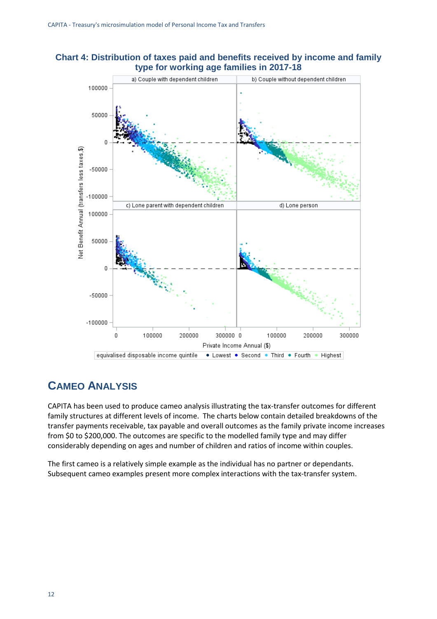<span id="page-15-0"></span>



### **CAMEO ANALYSIS**

CAPITA has been used to produce cameo analysis illustrating the tax-transfer outcomes for different family structures at different levels of income. The charts below contain detailed breakdowns of the transfer payments receivable, tax payable and overall outcomes as the family private income increases from \$0 to \$200,000. The outcomes are specific to the modelled family type and may differ considerably depending on ages and number of children and ratios of income within couples.

The first cameo is a relatively simple example as the individual has no partner or dependants. Subsequent cameo examples present more complex interactions with the tax-transfer system.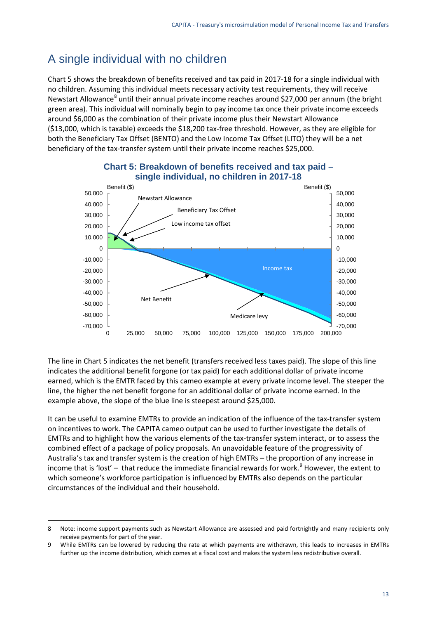### A single individual with no children

[Chart 5](#page-16-0) shows the breakdown of benefits received and tax paid in 2017-18 for a single individual with no children. Assuming this individual meets necessary activity test requirements, they will receive Newstart Allowance<sup>[8](#page-16-1)</sup> until their annual private income reaches around \$27,000 per annum (the bright green area). This individual will nominally begin to pay income tax once their private income exceeds around \$6,000 as the combination of their private income plus their Newstart Allowance (\$13,000, which is taxable) exceeds the \$18,200 tax-free threshold. However, as they are eligible for both the Beneficiary Tax Offset (BENTO) and the Low Income Tax Offset (LITO) they will be a net beneficiary of the tax-transfer system until their private income reaches \$25,000.

<span id="page-16-0"></span>

### **Chart 5: Breakdown of benefits received and tax paid – single individual, no children in 2017-18**

The line in [Chart 5](#page-16-0) indicates the net benefit (transfers received less taxes paid). The slope of this line indicates the additional benefit forgone (or tax paid) for each additional dollar of private income earned, which is the EMTR faced by this cameo example at every private income level. The steeper the line, the higher the net benefit forgone for an additional dollar of private income earned. In the example above, the slope of the blue line is steepest around \$25,000.

It can be useful to examine EMTRs to provide an indication of the influence of the tax-transfer system on incentives to work. The CAPITA cameo output can be used to further investigate the details of EMTRs and to highlight how the various elements of the tax-transfer system interact, or to assess the combined effect of a package of policy proposals. An unavoidable feature of the progressivity of Australia's tax and transfer system is the creation of high EMTRs – the proportion of any increase in income that is 'lost' – that reduce the immediate financial rewards for work.<sup>[9](#page-16-2)</sup> However, the extent to which someone's workforce participation is influenced by EMTRs also depends on the particular circumstances of the individual and their household.

<span id="page-16-1"></span><sup>8</sup> Note: income support payments such as Newstart Allowance are assessed and paid fortnightly and many recipients only receive payments for part of the year.

<span id="page-16-2"></span><sup>9</sup> While EMTRs can be lowered by reducing the rate at which payments are withdrawn, this leads to increases in EMTRs further up the income distribution, which comes at a fiscal cost and makes the system less redistributive overall.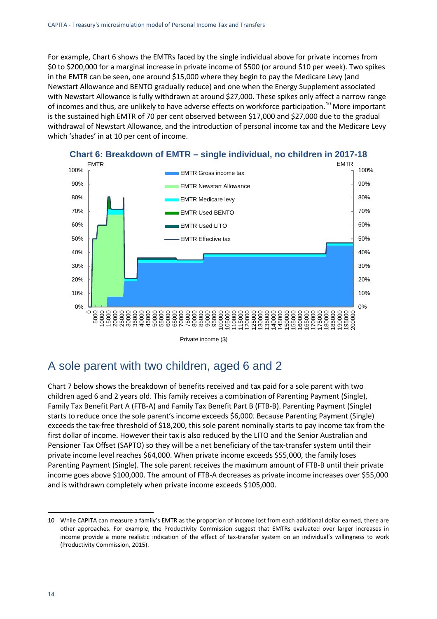For example[, Chart 6](#page-17-0) shows the EMTRs faced by the single individual above for private incomes from \$0 to \$200,000 for a marginal increase in private income of \$500 (or around \$10 per week). Two spikes in the EMTR can be seen, one around \$15,000 where they begin to pay the Medicare Levy (and Newstart Allowance and BENTO gradually reduce) and one when the Energy Supplement associated with Newstart Allowance is fully withdrawn at around \$27,000. These spikes only affect a narrow range of incomes and thus, are unlikely to have adverse effects on workforce participation.<sup>[10](#page-17-1)</sup> More important is the sustained high EMTR of 70 per cent observed between \$17,000 and \$27,000 due to the gradual withdrawal of Newstart Allowance, and the introduction of personal income tax and the Medicare Levy which 'shades' in at 10 per cent of income.

<span id="page-17-0"></span>

### **Chart 6: Breakdown of EMTR – single individual, no children in 2017-18**

### A sole parent with two children, aged 6 and 2

[Chart 7](#page-18-0) below shows the breakdown of benefits received and tax paid for a sole parent with two children aged 6 and 2 years old. This family receives a combination of Parenting Payment (Single), Family Tax Benefit Part A (FTB-A) and Family Tax Benefit Part B (FTB-B). Parenting Payment (Single) starts to reduce once the sole parent's income exceeds \$6,000. Because Parenting Payment (Single) exceeds the tax-free threshold of \$18,200, this sole parent nominally starts to pay income tax from the first dollar of income. However their tax is also reduced by the LITO and the Senior Australian and Pensioner Tax Offset (SAPTO) so they will be a net beneficiary of the tax-transfer system until their private income level reaches \$64,000. When private income exceeds \$55,000, the family loses Parenting Payment (Single). The sole parent receives the maximum amount of FTB-B until their private income goes above \$100,000. The amount of FTB-A decreases as private income increases over \$55,000 and is withdrawn completely when private income exceeds \$105,000.

<span id="page-17-1"></span><sup>10</sup> While CAPITA can measure a family's EMTR as the proportion of income lost from each additional dollar earned, there are other approaches. For example, the Productivity Commission suggest that EMTRs evaluated over larger increases in income provide a more realistic indication of the effect of tax-transfer system on an individual's willingness to work (Productivity Commission, 2015).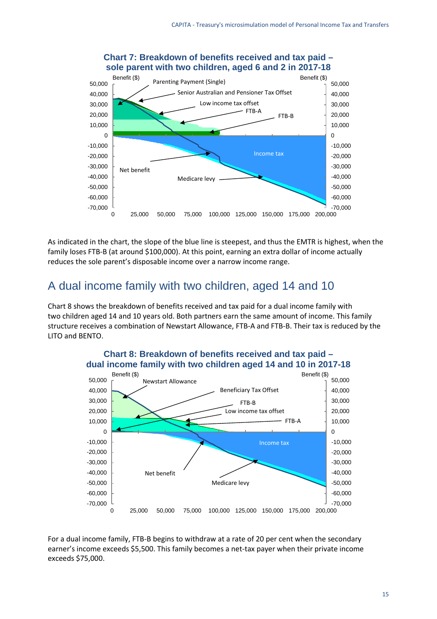<span id="page-18-0"></span>

### **Chart 7: Breakdown of benefits received and tax paid – sole parent with two children, aged 6 and 2 in 2017-18**

As indicated in the chart, the slope of the blue line is steepest, and thus the EMTR is highest, when the family loses FTB-B (at around \$100,000). At this point, earning an extra dollar of income actually reduces the sole parent's disposable income over a narrow income range.

## A dual income family with two children, aged 14 and 10

[Chart 8](#page-18-1) shows the breakdown of benefits received and tax paid for a dual income family with two children aged 14 and 10 years old. Both partners earn the same amount of income. This family structure receives a combination of Newstart Allowance, FTB-A and FTB-B. Their tax is reduced by the LITO and BENTO.

<span id="page-18-1"></span>

# **Chart 8: Breakdown of benefits received and tax paid –**

For a dual income family, FTB-B begins to withdraw at a rate of 20 per cent when the secondary earner's income exceeds \$5,500. This family becomes a net-tax payer when their private income exceeds \$75,000.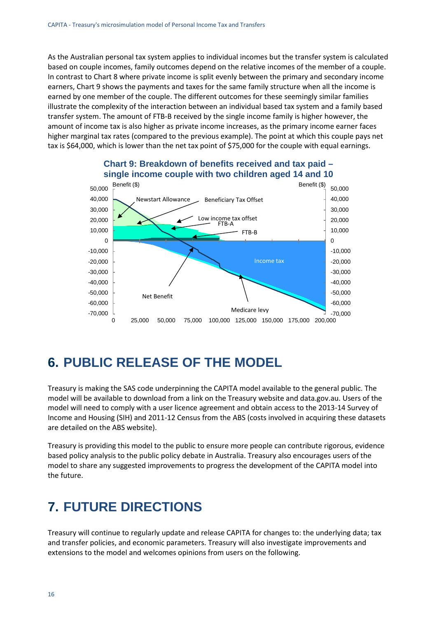As the Australian personal tax system applies to individual incomes but the transfer system is calculated based on couple incomes, family outcomes depend on the relative incomes of the member of a couple. In contrast t[o Chart 8](#page-18-1) where private income is split evenly between the primary and secondary income earners, [Chart 9](#page-19-0) shows the payments and taxes for the same family structure when all the income is earned by one member of the couple. The different outcomes for these seemingly similar families illustrate the complexity of the interaction between an individual based tax system and a family based transfer system. The amount of FTB-B received by the single income family is higher however, the amount of income tax is also higher as private income increases, as the primary income earner faces higher marginal tax rates (compared to the previous example). The point at which this couple pays net tax is \$64,000, which is lower than the net tax point of \$75,000 for the couple with equal earnings.

<span id="page-19-0"></span>

### **Chart 9: Breakdown of benefits received and tax paid – single income couple with two children aged 14 and 10**

# **6. PUBLIC RELEASE OF THE MODEL**

Treasury is making the SAS code underpinning the CAPITA model available to the general public. The model will be available to download from a link on the Treasury website and data.gov.au. Users of the model will need to comply with a user licence agreement and obtain access to the 2013-14 Survey of Income and Housing (SIH) and 2011-12 Census from the ABS (costs involved in acquiring these datasets are detailed on the ABS website).

Treasury is providing this model to the public to ensure more people can contribute rigorous, evidence based policy analysis to the public policy debate in Australia. Treasury also encourages users of the model to share any suggested improvements to progress the development of the CAPITA model into the future.

# **7. FUTURE DIRECTIONS**

Treasury will continue to regularly update and release CAPITA for changes to: the underlying data; tax and transfer policies, and economic parameters. Treasury will also investigate improvements and extensions to the model and welcomes opinions from users on the following.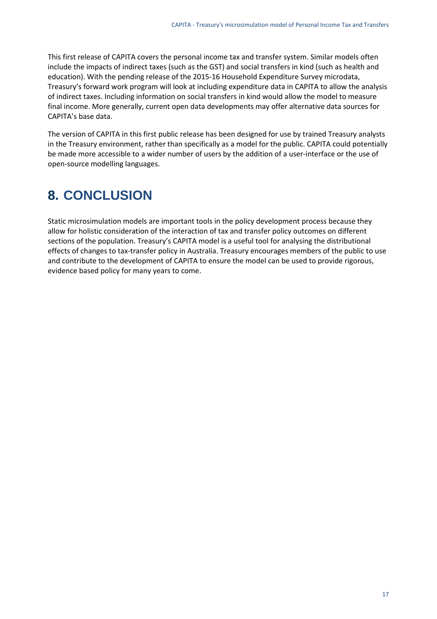This first release of CAPITA covers the personal income tax and transfer system. Similar models often include the impacts of indirect taxes (such as the GST) and social transfers in kind (such as health and education). With the pending release of the 2015-16 Household Expenditure Survey microdata, Treasury's forward work program will look at including expenditure data in CAPITA to allow the analysis of indirect taxes. Including information on social transfers in kind would allow the model to measure final income. More generally, current open data developments may offer alternative data sources for CAPITA's base data.

The version of CAPITA in this first public release has been designed for use by trained Treasury analysts in the Treasury environment, rather than specifically as a model for the public. CAPITA could potentially be made more accessible to a wider number of users by the addition of a user-interface or the use of open-source modelling languages.

# **8. CONCLUSION**

Static microsimulation models are important tools in the policy development process because they allow for holistic consideration of the interaction of tax and transfer policy outcomes on different sections of the population. Treasury's CAPITA model is a useful tool for analysing the distributional effects of changes to tax-transfer policy in Australia. Treasury encourages members of the public to use and contribute to the development of CAPITA to ensure the model can be used to provide rigorous, evidence based policy for many years to come.